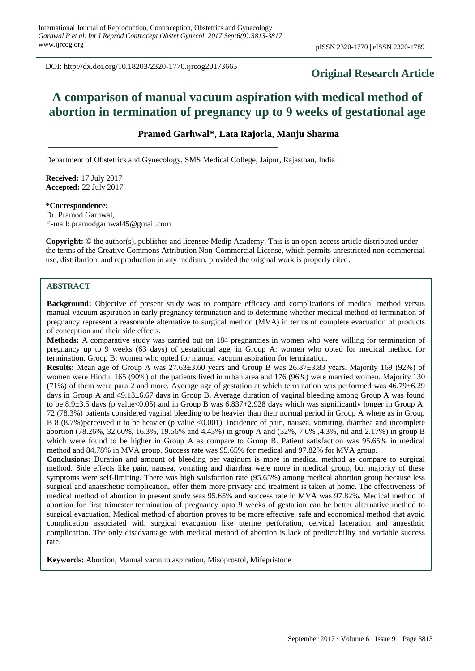DOI: http://dx.doi.org/10.18203/2320-1770.ijrcog20173665

# **Original Research Article**

# **A comparison of manual vacuum aspiration with medical method of abortion in termination of pregnancy up to 9 weeks of gestational age**

# **Pramod Garhwal\*, Lata Rajoria, Manju Sharma**

Department of Obstetrics and Gynecology, SMS Medical College, Jaipur, Rajasthan, India

**Received:** 17 July 2017 **Accepted:** 22 July 2017

#### **\*Correspondence:**

Dr. Pramod Garhwal, E-mail: pramodgarhwal45@gmail.com

**Copyright:** © the author(s), publisher and licensee Medip Academy. This is an open-access article distributed under the terms of the Creative Commons Attribution Non-Commercial License, which permits unrestricted non-commercial use, distribution, and reproduction in any medium, provided the original work is properly cited.

#### **ABSTRACT**

**Background:** Objective of present study was to compare efficacy and complications of medical method versus manual vacuum aspiration in early pregnancy termination and to determine whether medical method of termination of pregnancy represent a reasonable alternative to surgical method (MVA) in terms of complete evacuation of products of conception and their side effects.

**Methods:** A comparative study was carried out on 184 pregnancies in women who were willing for termination of pregnancy up to 9 weeks (63 days) of gestational age, in Group A: women who opted for medical method for termination, Group B: women who opted for manual vacuum aspiration for termination.

**Results:** Mean age of Group A was 27.63±3.60 years and Group B was 26.87±3.83 years. Majority 169 (92%) of women were Hindu. 165 (90%) of the patients lived in urban area and 176 (96%) were married women. Majority 130 (71%) of them were para 2 and more. Average age of gestation at which termination was performed was 46.79±6.29 days in Group A and 49.13±6.67 days in Group B. Average duration of vaginal bleeding among Group A was found to be 8.9±3.5 days (p value<0.05) and in Group B was 6.837+2.928 days which was significantly longer in Group A. 72 (78.3%) patients considered vaginal bleeding to be heavier than their normal period in Group A where as in Group B 8 (8.7%)perceived it to be heavier (p value <0.001). Incidence of pain, nausea, vomiting, diarrhea and incomplete abortion (78.26%, 32.60%, 16.3%, 19.56% and 4.43%) in group A and (52%, 7.6% ,4.3%, nil and 2.17%) in group B which were found to be higher in Group A as compare to Group B. Patient satisfaction was 95.65% in medical method and 84.78% in MVA group. Success rate was 95.65% for medical and 97.82% for MVA group.

**Conclusions:** Duration and amount of bleeding per vaginum is more in medical method as compare to surgical method. Side effects like pain, nausea, vomiting and diarrhea were more in medical group, but majority of these symptoms were self-limiting. There was high satisfaction rate (95.65%) among medical abortion group because less surgical and anaesthetic complication, offer them more privacy and treatment is taken at home. The effectiveness of medical method of abortion in present study was 95.65% and success rate in MVA was 97.82%. Medical method of abortion for first trimester termination of pregnancy upto 9 weeks of gestation can be better alternative method to surgical evacuation. Medical method of abortion proves to be more effective, safe and economical method that avoid complication associated with surgical evacuation like uterine perforation, cervical laceration and anaesthtic complication. The only disadvantage with medical method of abortion is lack of predictability and variable success rate.

**Keywords:** Abortion, Manual vacuum aspiration, Misoprostol, Mifepristone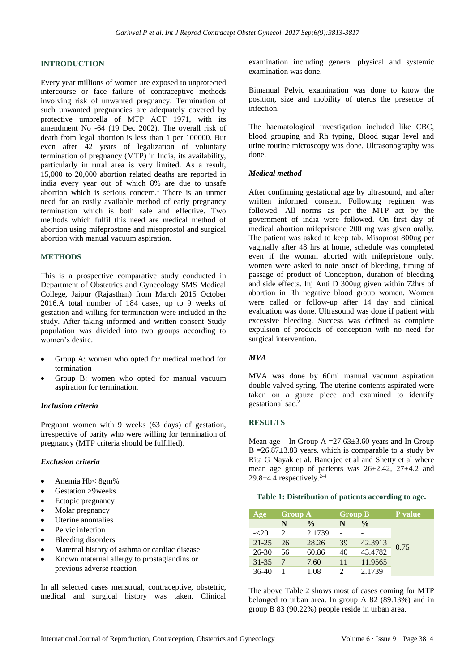# **INTRODUCTION**

Every year millions of women are exposed to unprotected intercourse or face failure of contraceptive methods involving risk of unwanted pregnancy. Termination of such unwanted pregnancies are adequately covered by protective umbrella of MTP ACT 1971, with its amendment No -64 (19 Dec 2002). The overall risk of death from legal abortion is less than 1 per 100000. But even after 42 years of legalization of voluntary termination of pregnancy (MTP) in India, its availability, particularly in rural area is very limited. As a result, 15,000 to 20,000 abortion related deaths are reported in india every year out of which 8% are due to unsafe abortion which is serious concern. <sup>1</sup> There is an unmet need for an easily available method of early pregnancy termination which is both safe and effective. Two methods which fulfil this need are medical method of abortion using mifeprostone and misoprostol and surgical abortion with manual vacuum aspiration.

#### **METHODS**

This is a prospective comparative study conducted in Department of Obstetrics and Gynecology SMS Medical College, Jaipur (Rajasthan) from March 2015 October 2016.A total number of 184 cases, up to 9 weeks of gestation and willing for termination were included in the study. After taking informed and written consent Study population was divided into two groups according to women's desire.

- Group A: women who opted for medical method for termination
- Group B: women who opted for manual vacuum aspiration for termination.

#### *Inclusion criteria*

Pregnant women with 9 weeks (63 days) of gestation, irrespective of parity who were willing for termination of pregnancy (MTP criteria should be fulfilled).

#### *Exclusion criteria*

- Anemia Hb< 8gm%
- Gestation >9weeks
- Ectopic pregnancy
- Molar pregnancy
- Uterine anomalies
- Pelvic infection
- Bleeding disorders
- Maternal history of asthma or cardiac disease
- Known maternal allergy to prostaglandins or previous adverse reaction

In all selected cases menstrual, contraceptive, obstetric, medical and surgical history was taken. Clinical examination including general physical and systemic examination was done.

Bimanual Pelvic examination was done to know the position, size and mobility of uterus the presence of infection.

The haematological investigation included like CBC, blood grouping and Rh typing, Blood sugar level and urine routine microscopy was done. Ultrasonography was done.

### *Medical method*

After confirming gestational age by ultrasound, and after written informed consent. Following regimen was followed. All norms as per the MTP act by the government of india were followed. On first day of medical abortion mifepristone 200 mg was given orally. The patient was asked to keep tab. Misoprost 800ug per vaginally after 48 hrs at home, schedule was completed even if the woman aborted with mifepristone only. women were asked to note onset of bleeding, timing of passage of product of Conception, duration of bleeding and side effects. Inj Anti D 300ug given within 72hrs of abortion in Rh negative blood group women. Women were called or follow-up after 14 day and clinical evaluation was done. Ultrasound was done if patient with excessive bleeding. Success was defined as complete expulsion of products of conception with no need for surgical intervention.

### *MVA*

MVA was done by 60ml manual vacuum aspiration double valved syring. The uterine contents aspirated were taken on a gauze piece and examined to identify gestational sac.<sup>2</sup>

## **RESULTS**

Mean age – In Group A =  $27.63 \pm 3.60$  years and In Group B =  $26.87 \pm 3.83$  years. which is comparable to a study by Rita G Nayak et al, Banerjee et al and Shetty et al where mean age group of patients was 26±2.42, 27±4.2 and  $29.8 \pm 4.4$  respectively.<sup>2-4</sup>

#### **Table 1: Distribution of patients according to age.**

| Age       | <b>Group A</b> |               | <b>Group B</b> |               | <b>P</b> value |
|-----------|----------------|---------------|----------------|---------------|----------------|
|           | N              | $\frac{0}{0}$ |                | $\frac{6}{9}$ |                |
| $-20$     |                | 2.1739        |                |               |                |
| $21 - 25$ | 26             | 28.26         | 39             | 42.3913       | 0.75           |
| $26 - 30$ | 56             | 60.86         | 40             | 43.4782       |                |
| $31 - 35$ |                | 7.60          | 11             | 11.9565       |                |
| $36-40$   |                | 1.08          |                | 2.1739        |                |

The above Table 2 shows most of cases coming for MTP belonged to urban area. In group A 82 (89.13%) and in group B 83 (90.22%) people reside in urban area.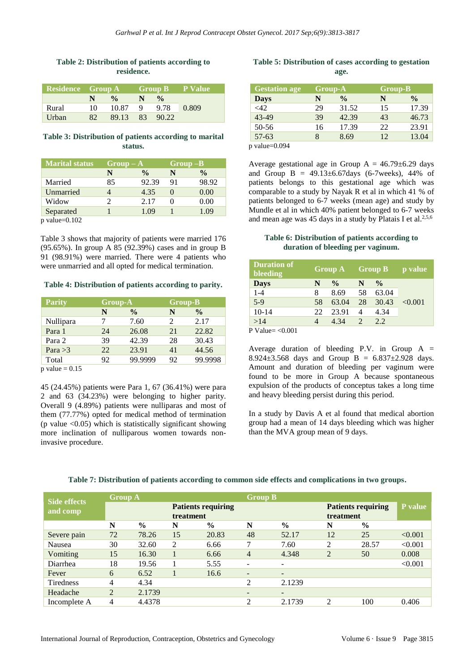# **Table 2: Distribution of patients according to residence.**

| Residence Group A |     |               |     |                    | Group B P Value |
|-------------------|-----|---------------|-----|--------------------|-----------------|
|                   | N.  | $\frac{0}{2}$ | N   | $\frac{0}{\alpha}$ |                 |
| Rural             | 10  | 10.87         | - 9 | 9.78               | 0.809           |
| Urban             | 82. | 89.13 83      |     | 90.22              |                 |

### **Table 3: Distribution of patients according to marital status.**

| <b>Marital status</b> | $Group-A$ |               |    | $Group-B$     |  |  |  |
|-----------------------|-----------|---------------|----|---------------|--|--|--|
|                       | N         | $\frac{0}{0}$ | N  | $\frac{0}{0}$ |  |  |  |
| Married               | 85        | 92.39         | 91 | 98.92         |  |  |  |
| Unmarried             |           | 4.35          |    | 0.00          |  |  |  |
| Widow                 | 2         | 2.17          |    | 0.00          |  |  |  |
| Separated             |           | 1.09          |    | 1.09          |  |  |  |
| $p$ value=0.102       |           |               |    |               |  |  |  |

Table 3 shows that majority of patients were married 176 (95.65%). In group A 85 (92.39%) cases and in group B 91 (98.91%) were married. There were 4 patients who were unmarried and all opted for medical termination.

## **Table 4: Distribution of patients according to parity.**

|    |               |                             | <b>Group-B</b> |  |  |
|----|---------------|-----------------------------|----------------|--|--|
| N  | $\frac{6}{9}$ | N                           | $\frac{0}{0}$  |  |  |
|    | 7.60          | $\mathcal{D}_{\mathcal{L}}$ | 2.17           |  |  |
| 24 | 26.08         | 21                          | 22.82          |  |  |
| 39 | 42.39         | 28                          | 30.43          |  |  |
| 22 | 23.91         | 41                          | 44.56          |  |  |
| 92 | 99.9999       | 92                          | 99.9998        |  |  |
|    |               | <b>Group-A</b>              |                |  |  |

 $p$  value = 0.15

45 (24.45%) patients were Para 1, 67 (36.41%) were para 2 and 63 (34.23%) were belonging to higher parity. Overall 9 (4.89%) patients were nulliparas and most of them (77.77%) opted for medical method of termination (p value  $\langle 0.05 \rangle$ ) which is statistically significant showing more inclination of nulliparous women towards noninvasive procedure.

## **Table 5: Distribution of cases according to gestation age.**

| <b>Gestation age</b> |    | Group-A       |    | <b>Group-B</b>     |
|----------------------|----|---------------|----|--------------------|
| <b>Days</b>          |    | $\frac{0}{0}$ | N  | $\frac{0}{\alpha}$ |
| <42                  | 29 | 31.52         | 15 | 17.39              |
| 43-49                | 39 | 42.39         | 43 | 46.73              |
| 50-56                | 16 | 17.39         | 22 | 23.91              |
| $57 - 63$            |    | 8.69          | 12 | 13.04              |

p value=0.094

Average gestational age in Group  $A = 46.79 \pm 6.29$  days and Group B =  $49.13 \pm 6.67$  days (6-7 weeks), 44% of patients belongs to this gestational age which was comparable to a study by Nayak R et al in which 41 % of patients belonged to 6-7 weeks (mean age) and study by Mundle et al in which 40% patient belonged to 6-7 weeks and mean age was 45 days in a study by Platais I et al.<sup>2,5,6</sup>

#### **Table 6: Distribution of patients according to duration of bleeding per vaginum.**

| <b>Duration of</b><br>bleeding | $Group A \qquad Group B$ |               |                |               | <b>p</b> value |
|--------------------------------|--------------------------|---------------|----------------|---------------|----------------|
| <b>Days</b>                    | N                        | $\frac{0}{0}$ | N              | $\frac{0}{0}$ |                |
| $1 - 4$                        | 8                        | 8.69          | 58             | 63.04         |                |
| $5-9$                          | 58                       | 63.04         | 28             | 30.43         | < 0.001        |
| $10-14$                        | 22                       | 23.91         | 4              | 4.34          |                |
| >14                            |                          | 4.34          | $\overline{2}$ | 2.2           |                |
| P Value− ∠0 001                |                          |               |                |               |                |

**P** Value=  $\leq 0.001$ 

Average duration of bleeding P.V. in Group  $A =$ 8.924 $\pm$ 3.568 days and Group B = 6.837 $\pm$ 2.928 days. Amount and duration of bleeding per vaginum were found to be more in Group A because spontaneous expulsion of the products of conceptus takes a long time and heavy bleeding persist during this period.

In a study by Davis A et al found that medical abortion group had a mean of 14 days bleeding which was higher than the MVA group mean of 9 days.

|                                 | <b>Group A</b> |               |           |                           | <b>Group B</b>           |               |                |                           |         |
|---------------------------------|----------------|---------------|-----------|---------------------------|--------------------------|---------------|----------------|---------------------------|---------|
| <b>Side effects</b><br>and comp |                |               | treatment | <b>Patients requiring</b> |                          |               | treatment      | <b>Patients requiring</b> | P value |
|                                 | N              | $\frac{0}{0}$ | N         | $\frac{0}{0}$             | N                        | $\frac{0}{0}$ | N              | $\frac{6}{9}$             |         |
| Severe pain                     | 72             | 78.26         | 15        | 20.83                     | 48                       | 52.17         | 12             | 25                        | < 0.001 |
| Nausea                          | 30             | 32.60         | 2         | 6.66                      | ⇁                        | 7.60          | 2              | 28.57                     | < 0.001 |
| Vomiting                        | 15             | 16.30         |           | 6.66                      | $\overline{4}$           | 4.348         | $\overline{2}$ | 50                        | 0.008   |
| Diarrhea                        | 18             | 19.56         |           | 5.55                      | $\overline{\phantom{a}}$ |               |                |                           | < 0.001 |
| Fever                           | 6              | 6.52          |           | 16.6                      | $\overline{\phantom{0}}$ | -             |                |                           |         |
| <b>Tiredness</b>                | 4              | 4.34          |           |                           | $\overline{2}$           | 2.1239        |                |                           |         |
| Headache                        | $\overline{2}$ | 2.1739        |           |                           | $\overline{\phantom{0}}$ | -             |                |                           |         |
| Incomplete A                    | 4              | 4.4378        |           |                           | ◠                        | 2.1739        | ◠              | 100                       | 0.406   |

#### **Table 7: Distribution of patients according to common side effects and complications in two groups.**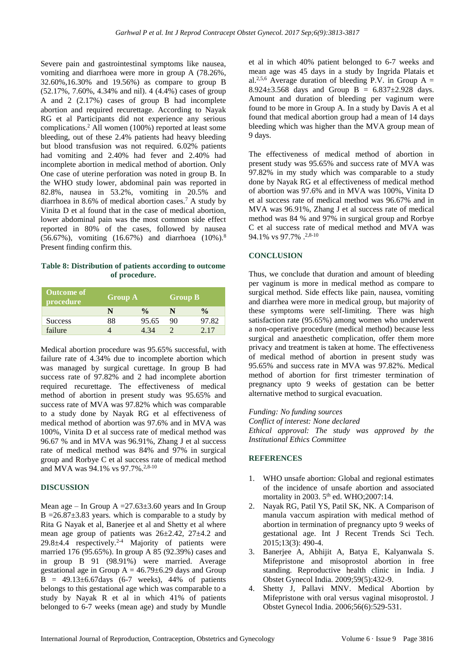Severe pain and gastrointestinal symptoms like nausea, vomiting and diarrhoea were more in group A (78.26%, 32.60%,16.30% and 19.56%) as compare to group B (52.17%, 7.60%, 4.34% and nil). 4 (4.4%) cases of group A and 2 (2.17%) cases of group B had incomplete abortion and required recurettage. According to Nayak RG et al Participants did not experience any serious complications.<sup>2</sup> All women (100%) reported at least some bleeding, out of these 2.4% patients had heavy bleeding but blood transfusion was not required. 6.02% patients had vomiting and 2.40% had fever and 2.40% had incomplete abortion in medical method of abortion. Only One case of uterine perforation was noted in group B. In the WHO study lower, abdominal pain was reported in 82.8%, nausea in 53.2%, vomiting in 20.5% and diarrhoea in 8.6% of medical abortion cases.<sup>7</sup> A study by Vinita D et al found that in the case of medical abortion, lower abdominal pain was the most common side effect reported in 80% of the cases, followed by nausea (56.67%), vomiting (16.67%) and diarrhoea (10%).<sup>8</sup> Present finding confirm this.

**Table 8: Distribution of patients according to outcome of procedure.**

| <b>Outcome of</b><br>procedure' | <b>Group A</b> |               | <b>Group B</b> |               |  |
|---------------------------------|----------------|---------------|----------------|---------------|--|
|                                 | N              | $\frac{0}{0}$ |                | $\frac{0}{0}$ |  |
| <b>Success</b>                  | 88             | 95.65         | 90             | 97.82         |  |
| failure                         |                | 4 34          |                | 2.17          |  |

Medical abortion procedure was 95.65% successful, with failure rate of 4.34% due to incomplete abortion which was managed by surgical curettage. In group B had success rate of 97.82% and 2 had incomplete abortion required recurettage. The effectiveness of medical method of abortion in present study was 95.65% and success rate of MVA was 97.82% which was comparable to a study done by Nayak RG et al effectiveness of medical method of abortion was 97.6% and in MVA was 100%, Vinita D et al success rate of medical method was 96.67 % and in MVA was 96.91%, Zhang J et al success rate of medical method was 84% and 97% in surgical group and Rorbye C et al success rate of medical method and MVA was 94.1% vs 97.7%.<sup>2,8-10</sup>

#### **DISCUSSION**

Mean age – In Group  $A = 27.63 \pm 3.60$  years and In Group B =  $26.87 \pm 3.83$  years. which is comparable to a study by Rita G Nayak et al, Banerjee et al and Shetty et al where mean age group of patients was 26±2.42, 27±4.2 and  $29.8\pm4.4$  respectively.<sup>2-4</sup> Majority of patients were married 176 (95.65%). In group A 85 (92.39%) cases and in group B 91 (98.91%) were married. Average gestational age in Group  $A = 46.79 \pm 6.29$  days and Group  $\overline{B}$  = 49.13±6.67days (6-7 weeks), 44% of patients belongs to this gestational age which was comparable to a study by Nayak R et al in which 41% of patients belonged to 6-7 weeks (mean age) and study by Mundle et al in which 40% patient belonged to 6-7 weeks and mean age was 45 days in a study by Ingrida Platais et al.<sup>2,5,6</sup> Average duration of bleeding P.V. in Group A = 8.924 $\pm$ 3.568 days and Group B = 6.837 $\pm$ 2.928 days. Amount and duration of bleeding per vaginum were found to be more in Group A. In a study by Davis A et al found that medical abortion group had a mean of 14 days bleeding which was higher than the MVA group mean of 9 days.

The effectiveness of medical method of abortion in present study was 95.65% and success rate of MVA was 97.82% in my study which was comparable to a study done by Nayak RG et al effectiveness of medical method of abortion was 97.6% and in MVA was 100%, Vinita D et al success rate of medical method was 96.67% and in MVA was 96.91%, Zhang J et al success rate of medical method was 84 % and 97% in surgical group and Rorbye C et al success rate of medical method and MVA was 94.1% vs 97.7% .<sup>2,8-10</sup>

#### **CONCLUSION**

Thus, we conclude that duration and amount of bleeding per vaginum is more in medical method as compare to surgical method. Side effects like pain, nausea, vomiting and diarrhea were more in medical group, but majority of these symptoms were self-limiting. There was high satisfaction rate (95.65%) among women who underwent a non-operative procedure (medical method) because less surgical and anaesthetic complication, offer them more privacy and treatment is taken at home. The effectiveness of medical method of abortion in present study was 95.65% and success rate in MVA was 97.82%. Medical method of abortion for first trimester termination of pregnancy upto 9 weeks of gestation can be better alternative method to surgical evacuation.

*Funding: No funding sources Conflict of interest: None declared Ethical approval: The study was approved by the Institutional Ethics Committee*

#### **REFERENCES**

- 1. WHO unsafe abortion: Global and regional estimates of the incidence of unsafe abortion and associated mortality in 2003. 5<sup>th</sup> ed. WHO;2007:14.
- 2. Nayak RG, Patil YS, Patil SK, NK. A Comparison of manula vaccum aspiration with medical method of abortion in termination of pregnancy upto 9 weeks of gestational age. Int J Recent Trends Sci Tech. 2015;13(3): 490-4.
- 3. Banerjee A, Abhijit A, Batya E, Kalyanwala S. Mifepristone and misoprostol abortion in free standing. Reproductive health clinic in India. J Obstet Gynecol India. 2009;59(5):432-9.
- 4. Shetty J, Pallavi MNV. Medical Abortion by Mifepristone with oral versus vaginal misoprostol. J Obstet Gynecol India. 2006;56(6):529-531.